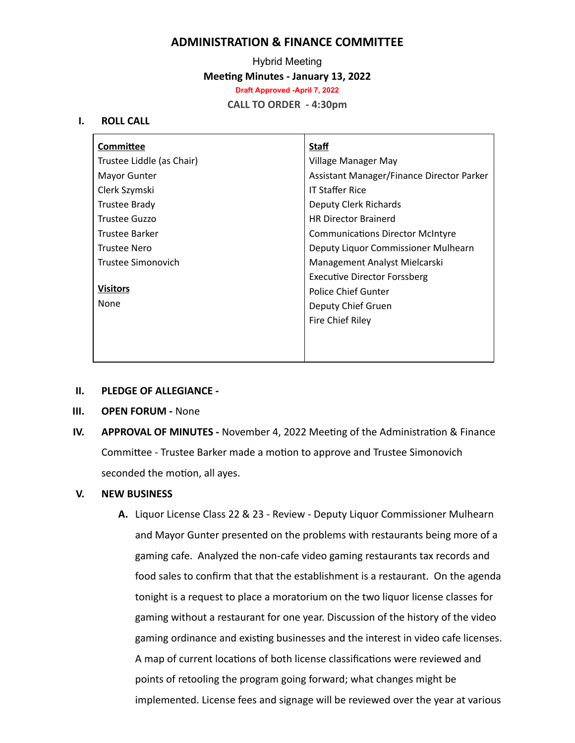# **ADMINISTRATION & FINANCE COMMITTEE**

Hybrid Meeting **Meeting Minutes - January 13, 2022 Draft Approved -April 7, 2022 CALL TO ORDER - 4:30pm**

### **I. ROLL CALL**

| <b>Committee</b>          | <b>Staff</b>                              |
|---------------------------|-------------------------------------------|
| Trustee Liddle (as Chair) | Village Manager May                       |
| Mayor Gunter              | Assistant Manager/Finance Director Parker |
| Clerk Szymski             | <b>IT Staffer Rice</b>                    |
| <b>Trustee Brady</b>      | Deputy Clerk Richards                     |
| Trustee Guzzo             | <b>HR Director Brainerd</b>               |
| Trustee Barker            | <b>Communications Director McIntyre</b>   |
| <b>Trustee Nero</b>       | Deputy Liquor Commissioner Mulhearn       |
| Trustee Simonovich        | Management Analyst Mielcarski             |
|                           | <b>Executive Director Forssberg</b>       |
| <b>Visitors</b>           | Police Chief Gunter                       |
| None                      | Deputy Chief Gruen                        |
|                           | Fire Chief Riley                          |
|                           |                                           |
|                           |                                           |
|                           |                                           |

### **II. PLEDGE OF ALLEGIANCE -**

- **III. OPEN FORUM -** None
- **IV.** APPROVAL OF MINUTES November 4, 2022 Meeting of the Administration & Finance Committee - Trustee Barker made a motion to approve and Trustee Simonovich seconded the motion, all ayes.

### **V. NEW BUSINESS**

**A.** Liquor License Class 22 & 23 - Review - Deputy Liquor Commissioner Mulhearn and Mayor Gunter presented on the problems with restaurants being more of a gaming cafe. Analyzed the non-cafe video gaming restaurants tax records and food sales to confirm that that the establishment is a restaurant. On the agenda tonight is a request to place a moratorium on the two liquor license classes for gaming without a restaurant for one year. Discussion of the history of the video gaming ordinance and existing businesses and the interest in video cafe licenses. A map of current locations of both license classifications were reviewed and points of retooling the program going forward; what changes might be implemented. License fees and signage will be reviewed over the year at various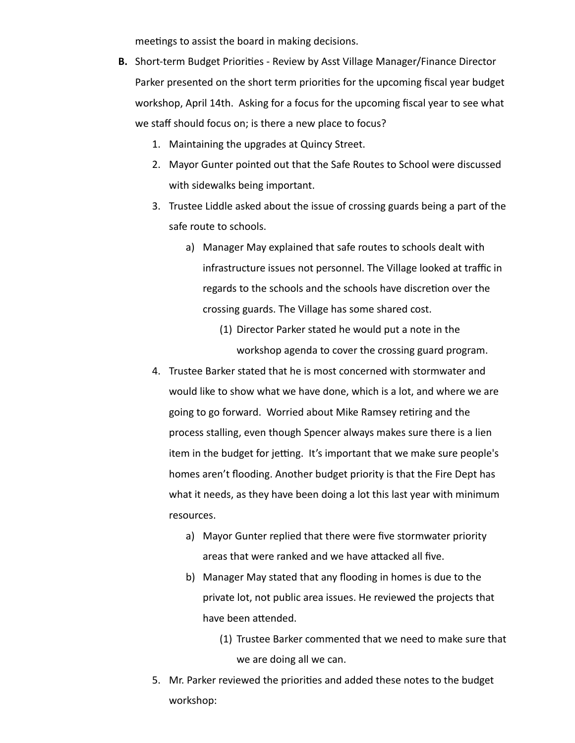meetings to assist the board in making decisions.

- **B.** Short-term Budget Priorities Review by Asst Village Manager/Finance Director Parker presented on the short term priorities for the upcoming fiscal year budget workshop, April 14th. Asking for a focus for the upcoming fiscal year to see what we staff should focus on; is there a new place to focus?
	- 1. Maintaining the upgrades at Quincy Street.
	- 2. Mayor Gunter pointed out that the Safe Routes to School were discussed with sidewalks being important.
	- 3. Trustee Liddle asked about the issue of crossing guards being a part of the safe route to schools.
		- a) Manager May explained that safe routes to schools dealt with infrastructure issues not personnel. The Village looked at traffic in regards to the schools and the schools have discretion over the crossing guards. The Village has some shared cost.
			- (1) Director Parker stated he would put a note in the workshop agenda to cover the crossing guard program.
	- 4. Trustee Barker stated that he is most concerned with stormwater and would like to show what we have done, which is a lot, and where we are going to go forward. Worried about Mike Ramsey retiring and the process stalling, even though Spencer always makes sure there is a lien item in the budget for jetting. It's important that we make sure people's homes aren't flooding. Another budget priority is that the Fire Dept has what it needs, as they have been doing a lot this last year with minimum resources.
		- a) Mayor Gunter replied that there were five stormwater priority areas that were ranked and we have attacked all five.
		- b) Manager May stated that any flooding in homes is due to the private lot, not public area issues. He reviewed the projects that have been attended.
			- (1) Trustee Barker commented that we need to make sure that we are doing all we can.
	- 5. Mr. Parker reviewed the priorities and added these notes to the budget workshop: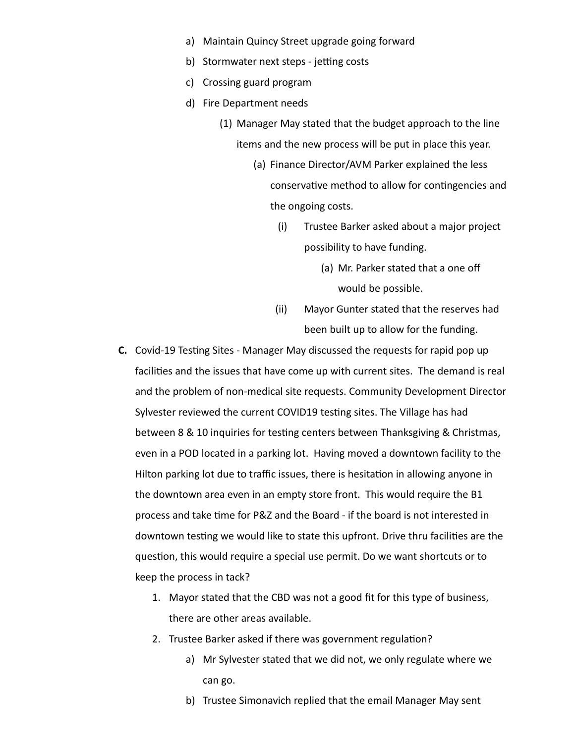- a) Maintain Quincy Street upgrade going forward
- b) Stormwater next steps jetting costs
- c) Crossing guard program
- d) Fire Department needs
	- (1) Manager May stated that the budget approach to the line items and the new process will be put in place this year.
		- (a) Finance Director/AVM Parker explained the less conservative method to allow for contingencies and the ongoing costs.
			- (i) Trustee Barker asked about a major project possibility to have funding.
				- (a) Mr. Parker stated that a one off would be possible.
			- (ii) Mayor Gunter stated that the reserves had been built up to allow for the funding.
- **C.** Covid-19 Testing Sites Manager May discussed the requests for rapid pop up facilities and the issues that have come up with current sites. The demand is real and the problem of non-medical site requests. Community Development Director Sylvester reviewed the current COVID19 testing sites. The Village has had between 8 & 10 inquiries for testing centers between Thanksgiving & Christmas, even in a POD located in a parking lot. Having moved a downtown facility to the Hilton parking lot due to traffic issues, there is hesitation in allowing anyone in the downtown area even in an empty store front. This would require the B1 process and take time for P&Z and the Board - if the board is not interested in downtown testing we would like to state this upfront. Drive thru facilities are the question, this would require a special use permit. Do we want shortcuts or to keep the process in tack?
	- 1. Mayor stated that the CBD was not a good fit for this type of business, there are other areas available.
	- 2. Trustee Barker asked if there was government regulation?
		- a) Mr Sylvester stated that we did not, we only regulate where we can go.
		- b) Trustee Simonavich replied that the email Manager May sent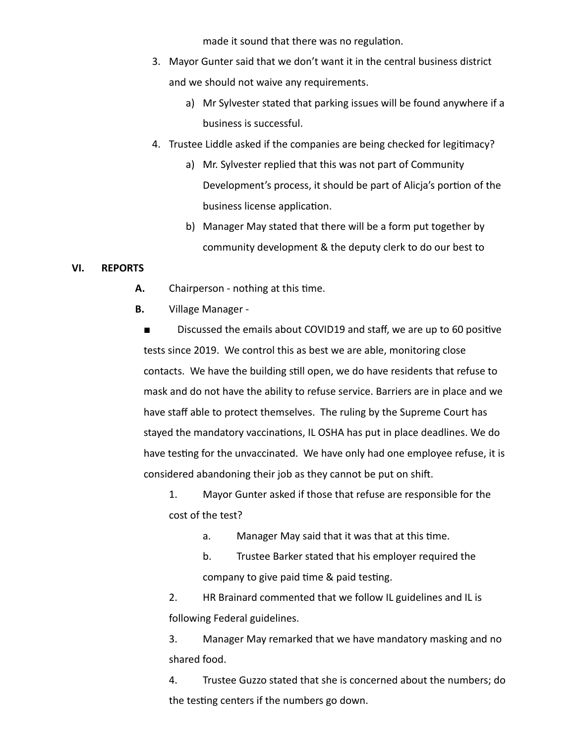made it sound that there was no regulation.

- 3. Mayor Gunter said that we don't want it in the central business district and we should not waive any requirements.
	- a) Mr Sylvester stated that parking issues will be found anywhere if a business is successful.
- 4. Trustee Liddle asked if the companies are being checked for legitimacy?
	- a) Mr. Sylvester replied that this was not part of Community Development's process, it should be part of Alicja's portion of the business license application.
	- b) Manager May stated that there will be a form put together by community development & the deputy clerk to do our best to

## **VI. REPORTS**

- A. Chairperson nothing at this time.
- **B.** Village Manager -

Discussed the emails about COVID19 and staff, we are up to 60 positive tests since 2019. We control this as best we are able, monitoring close contacts. We have the building still open, we do have residents that refuse to mask and do not have the ability to refuse service. Barriers are in place and we have staff able to protect themselves. The ruling by the Supreme Court has stayed the mandatory vaccinations, IL OSHA has put in place deadlines. We do have testing for the unvaccinated. We have only had one employee refuse, it is considered abandoning their job as they cannot be put on shift.

1. Mayor Gunter asked if those that refuse are responsible for the cost of the test?

- a. Manager May said that it was that at this time.
- b. Trustee Barker stated that his employer required the company to give paid time & paid testing.

2. HR Brainard commented that we follow IL guidelines and IL is following Federal guidelines.

3. Manager May remarked that we have mandatory masking and no shared food.

4. Trustee Guzzo stated that she is concerned about the numbers; do the testing centers if the numbers go down.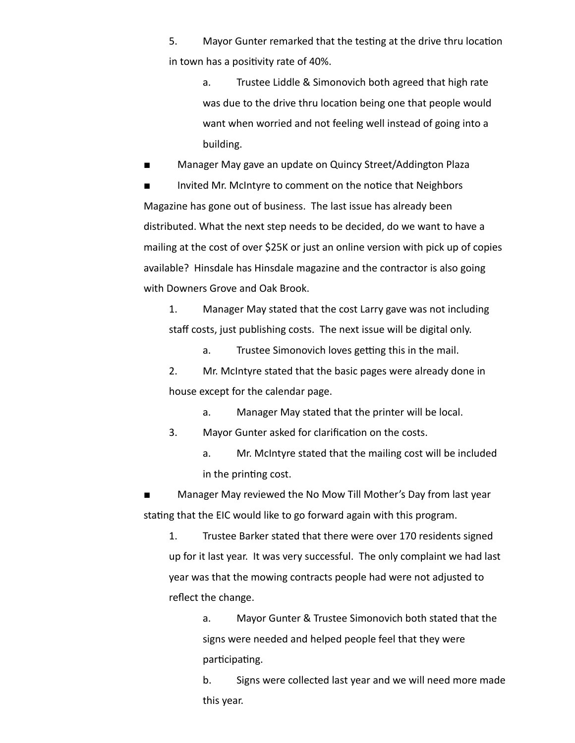5. Mayor Gunter remarked that the testing at the drive thru location in town has a positivity rate of 40%.

a. Trustee Liddle & Simonovich both agreed that high rate was due to the drive thru location being one that people would want when worried and not feeling well instead of going into a building.

**■** Manager May gave an update on Quincy Street/Addington Plaza

■ Invited Mr. McIntyre to comment on the notice that Neighbors Magazine has gone out of business. The last issue has already been distributed. What the next step needs to be decided, do we want to have a mailing at the cost of over \$25K or just an online version with pick up of copies available? Hinsdale has Hinsdale magazine and the contractor is also going with Downers Grove and Oak Brook.

1. Manager May stated that the cost Larry gave was not including staff costs, just publishing costs. The next issue will be digital only.

a. Trustee Simonovich loves getting this in the mail.

2. Mr. McIntyre stated that the basic pages were already done in house except for the calendar page.

a. Manager May stated that the printer will be local.

3. Mayor Gunter asked for clarification on the costs.

a. Mr. McIntyre stated that the mailing cost will be included in the printing cost.

Manager May reviewed the No Mow Till Mother's Day from last year stating that the EIC would like to go forward again with this program.

1. Trustee Barker stated that there were over 170 residents signed up for it last year. It was very successful. The only complaint we had last year was that the mowing contracts people had were not adjusted to reflect the change.

> a. Mayor Gunter & Trustee Simonovich both stated that the signs were needed and helped people feel that they were participating.

b. Signs were collected last year and we will need more made this year.